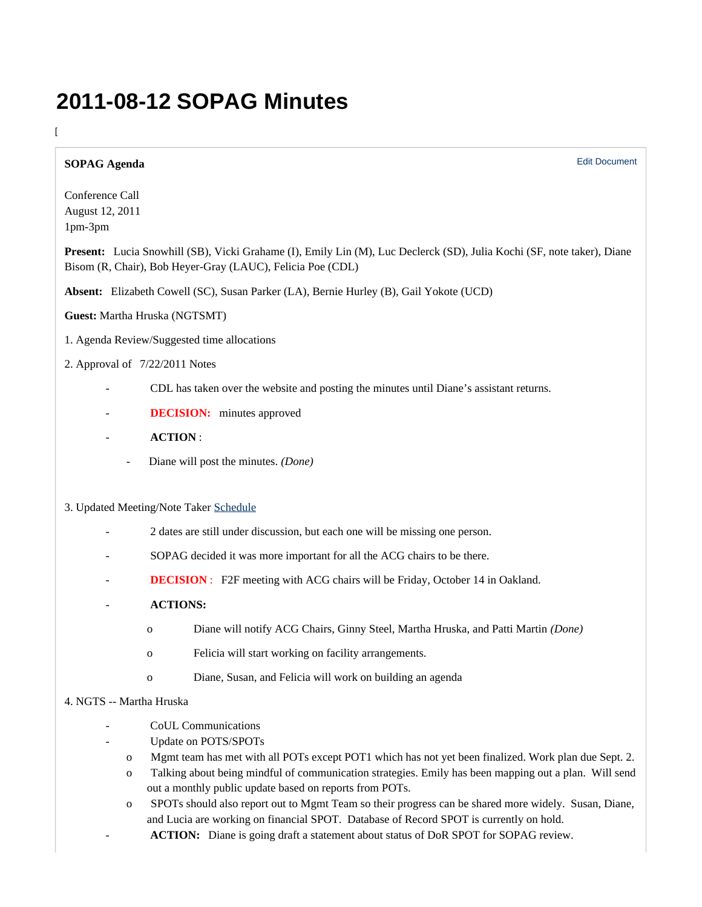# **2011-08-12 SOPAG Minutes**

## $\overline{[}$

## **SOPAG Agenda**

Conference Call August 12, 2011 1pm-3pm

**Present:** Lucia Snowhill (SB), Vicki Grahame (I), Emily Lin (M), Luc Declerck (SD), Julia Kochi (SF, note taker), Diane Bisom (R, Chair), Bob Heyer-Gray (LAUC), Felicia Poe (CDL)

Edit Document

**Absent:** Elizabeth Cowell (SC), Susan Parker (LA), Bernie Hurley (B), Gail Yokote (UCD)

# **Guest:** Martha Hruska (NGTSMT)

1. Agenda Review/Suggested time allocations

## 2. Approval of 7/22/2011 Notes

- CDL has taken over the website and posting the minutes until Diane's assistant returns.
- **DECISION:** minutes approved
- **ACTION** :
	- Diane will post the minutes. *(Done)*

#### 3. Updated Meeting/Note Taker [Schedule](https://wiki.library.ucsf.edu/download/attachments/45155375/2010-2011+SOPAG+Meeting+Schedule+revised+July+18+2011.docx?version=1&modificationDate=1311119762000)

- 2 dates are still under discussion, but each one will be missing one person.
- SOPAG decided it was more important for all the ACG chairs to be there.
- **DECISION** : F2F meeting with ACG chairs will be Friday, October 14 in Oakland.
- **ACTIONS:**
	- o Diane will notify ACG Chairs, Ginny Steel, Martha Hruska, and Patti Martin *(Done)*
	- o Felicia will start working on facility arrangements.
	- o Diane, Susan, and Felicia will work on building an agenda

## 4. NGTS -- Martha Hruska

- CoUL Communications
	- Update on POTS/SPOTs
		- o Mgmt team has met with all POTs except POT1 which has not yet been finalized. Work plan due Sept. 2.
		- o Talking about being mindful of communication strategies. Emily has been mapping out a plan. Will send out a monthly public update based on reports from POTs.
		- o SPOTs should also report out to Mgmt Team so their progress can be shared more widely. Susan, Diane, and Lucia are working on financial SPOT. Database of Record SPOT is currently on hold.
		- ACTION: Diane is going draft a statement about status of DoR SPOT for SOPAG review.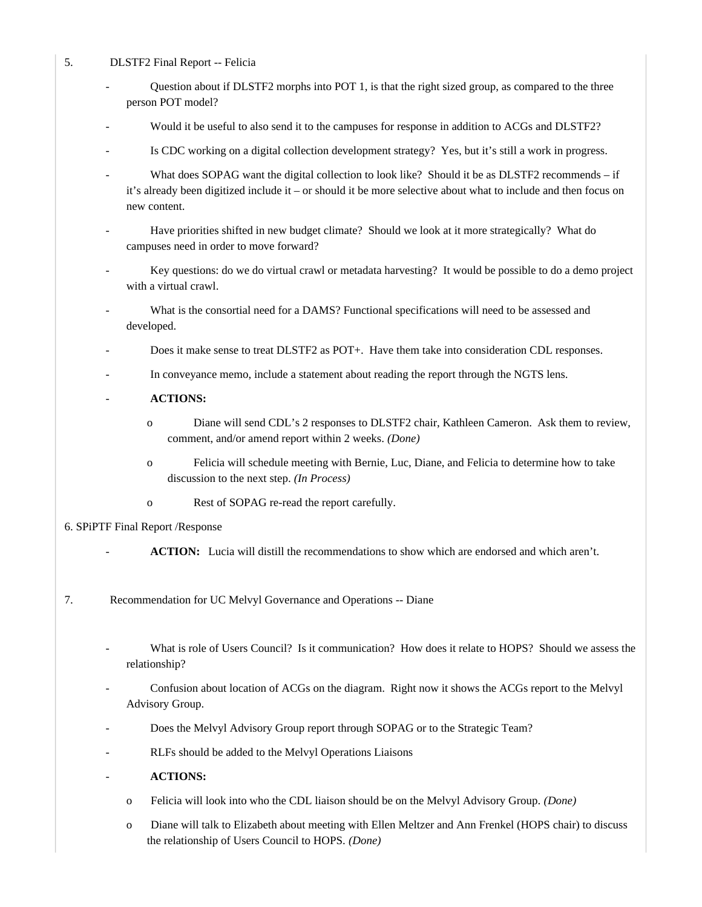## 5. DLSTF2 Final Report -- Felicia

- Question about if DLSTF2 morphs into POT 1, is that the right sized group, as compared to the three person POT model?
- Would it be useful to also send it to the campuses for response in addition to ACGs and DLSTF2?
- Is CDC working on a digital collection development strategy? Yes, but it's still a work in progress.
- What does SOPAG want the digital collection to look like? Should it be as DLSTF2 recommends if it's already been digitized include it – or should it be more selective about what to include and then focus on new content.
- Have priorities shifted in new budget climate? Should we look at it more strategically? What do campuses need in order to move forward?
- Key questions: do we do virtual crawl or metadata harvesting? It would be possible to do a demo project with a virtual crawl.
- What is the consortial need for a DAMS? Functional specifications will need to be assessed and developed.
- Does it make sense to treat DLSTF2 as POT+. Have them take into consideration CDL responses.
- In conveyance memo, include a statement about reading the report through the NGTS lens.
- **ACTIONS:** 
	- o Diane will send CDL's 2 responses to DLSTF2 chair, Kathleen Cameron. Ask them to review, comment, and/or amend report within 2 weeks. *(Done)*
	- o Felicia will schedule meeting with Bernie, Luc, Diane, and Felicia to determine how to take discussion to the next step. *(In Process)*
	- o Rest of SOPAG re-read the report carefully.

#### 6. SPiPTF Final Report /Response

- **ACTION:** Lucia will distill the recommendations to show which are endorsed and which aren't.
- 7. Recommendation for UC Melvyl Governance and Operations -- Diane
	- What is role of Users Council? Is it communication? How does it relate to HOPS? Should we assess the relationship?
	- Confusion about location of ACGs on the diagram. Right now it shows the ACGs report to the Melvyl Advisory Group.
	- Does the Melvyl Advisory Group report through SOPAG or to the Strategic Team?
	- RLFs should be added to the Melvyl Operations Liaisons
	- **ACTIONS:**
		- o Felicia will look into who the CDL liaison should be on the Melvyl Advisory Group. *(Done)*
		- o Diane will talk to Elizabeth about meeting with Ellen Meltzer and Ann Frenkel (HOPS chair) to discuss the relationship of Users Council to HOPS. *(Done)*